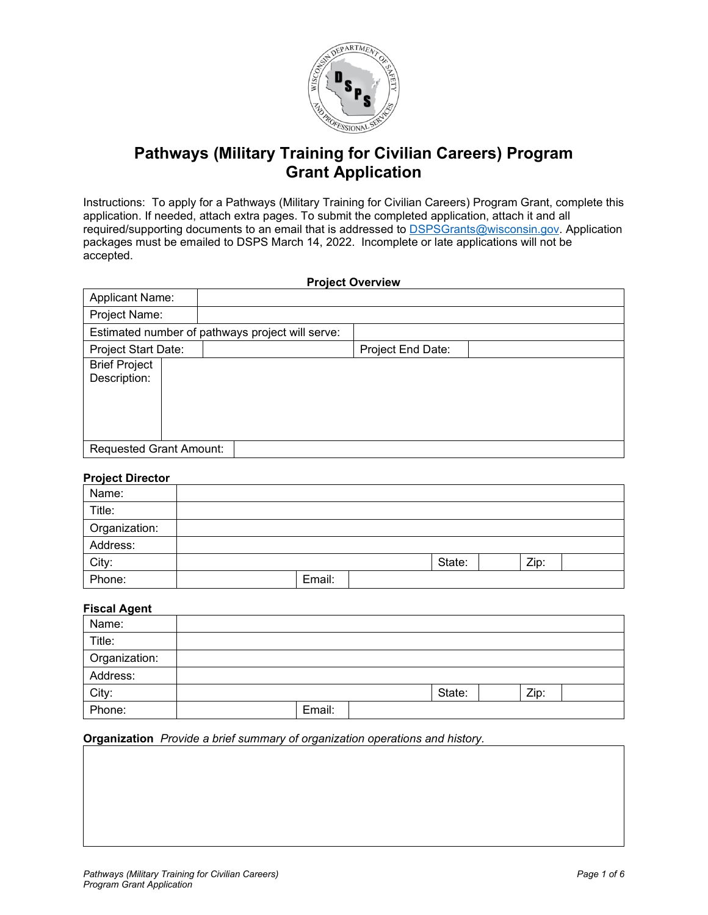

# **Pathways (Military Training for Civilian Careers) Program Grant Application**

Instructions: To apply for a Pathways (Military Training for Civilian Careers) Program Grant, complete this application. If needed, attach extra pages. To submit the completed application, attach it and all required/supporting documents to an email that is addressed to [DSPSGrants@wisconsin.gov.](mailto:DSPSGrants@wisconsin.gov) Application packages must be emailed to DSPS March 14, 2022. Incomplete or late applications will not be accepted.

| <b>Project Overview</b>              |                                                  |                   |  |  |  |  |
|--------------------------------------|--------------------------------------------------|-------------------|--|--|--|--|
| <b>Applicant Name:</b>               |                                                  |                   |  |  |  |  |
| Project Name:                        |                                                  |                   |  |  |  |  |
|                                      | Estimated number of pathways project will serve: |                   |  |  |  |  |
| Project Start Date:                  |                                                  | Project End Date: |  |  |  |  |
| <b>Brief Project</b><br>Description: |                                                  |                   |  |  |  |  |
| <b>Requested Grant Amount:</b>       |                                                  |                   |  |  |  |  |

# **Project Director**

| Name:         |        |        |      |  |
|---------------|--------|--------|------|--|
| Title:        |        |        |      |  |
| Organization: |        |        |      |  |
| Address:      |        |        |      |  |
| City:         |        | State: | Zip: |  |
| Phone:        | Email: |        |      |  |

# **Fiscal Agent**

| . <b>.</b>    |        |        |      |  |
|---------------|--------|--------|------|--|
| Name:         |        |        |      |  |
| Title:        |        |        |      |  |
| Organization: |        |        |      |  |
| Address:      |        |        |      |  |
| City:         |        | State: | Zip: |  |
| Phone:        | Email: |        |      |  |

#### **Organization** *Provide a brief summary of organization operations and history.*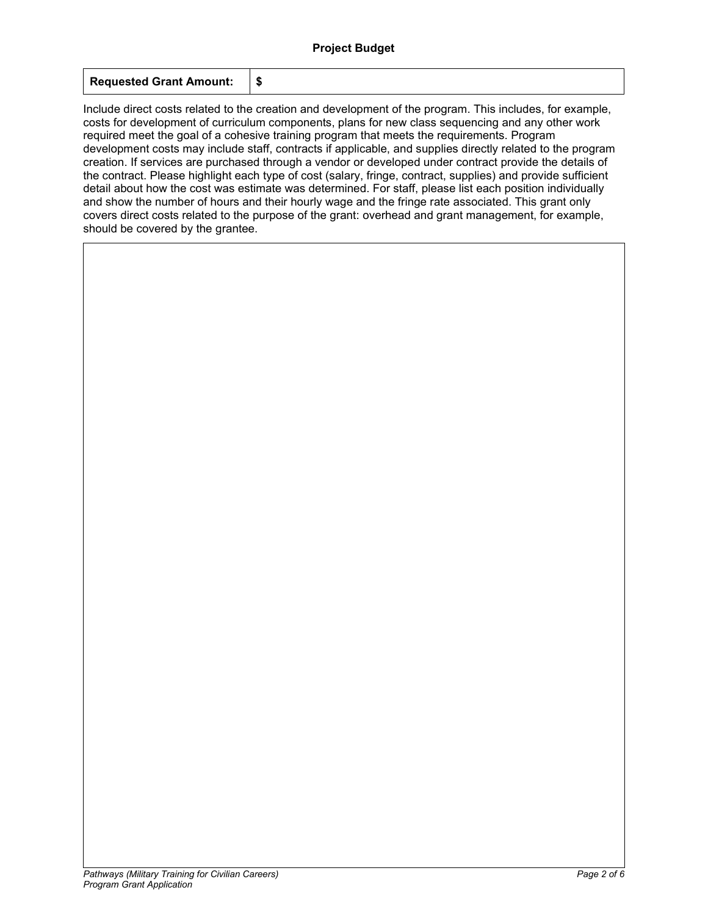| <b>Requested Grant Amount:</b> |  |
|--------------------------------|--|
|--------------------------------|--|

Include direct costs related to the creation and development of the program. This includes, for example, costs for development of curriculum components, plans for new class sequencing and any other work required meet the goal of a cohesive training program that meets the requirements. Program development costs may include staff, contracts if applicable, and supplies directly related to the program creation. If services are purchased through a vendor or developed under contract provide the details of the contract. Please highlight each type of cost (salary, fringe, contract, supplies) and provide sufficient detail about how the cost was estimate was determined. For staff, please list each position individually and show the number of hours and their hourly wage and the fringe rate associated. This grant only covers direct costs related to the purpose of the grant: overhead and grant management, for example, should be covered by the grantee.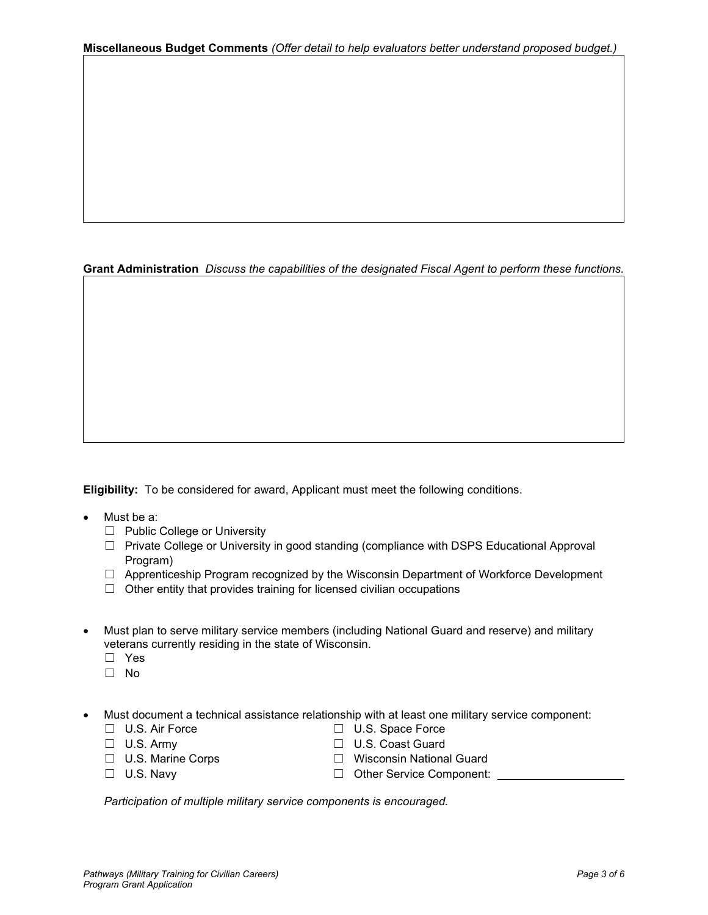# **Grant Administration** *Discuss the capabilities of the designated Fiscal Agent to perform these functions.*

**Eligibility:** To be considered for award, Applicant must meet the following conditions.

- Must be a:
	- ☐ Public College or University
	- ☐ Private College or University in good standing (compliance with DSPS Educational Approval Program)
	- $\Box$  Apprenticeship Program recognized by the Wisconsin Department of Workforce Development
	- $\Box$  Other entity that provides training for licensed civilian occupations
- Must plan to serve military service members (including National Guard and reserve) and military veterans currently residing in the state of Wisconsin.
	- ☐ Yes
	- ☐ No
- Must document a technical assistance relationship with at least one military service component:
	- -
	-
	-
	- ☐ U.S. Air Force ☐ U.S. Space Force □ U.S. Coast Guard
	- ☐ U.S. Marine Corps ☐ Wisconsin National Guard
	- ☐ U.S. Navy ☐ Other Service Component:

*Participation of multiple military service components is encouraged.*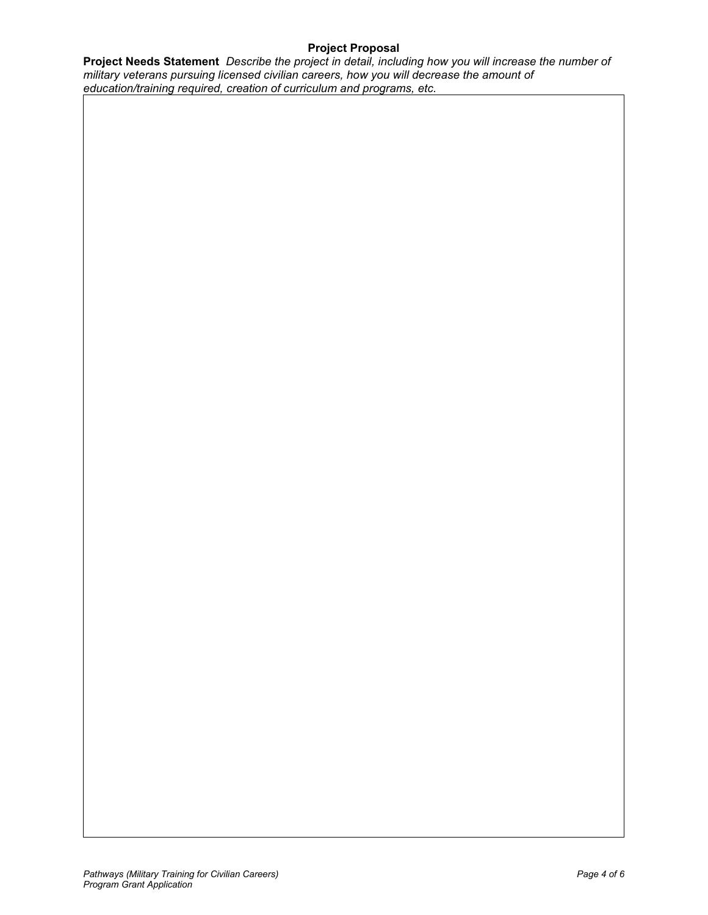# **Project Proposal**

**Project Needs Statement** *Describe the project in detail, including how you will increase the number of military veterans pursuing licensed civilian careers, how you will decrease the amount of education/training required, creation of curriculum and programs, etc.*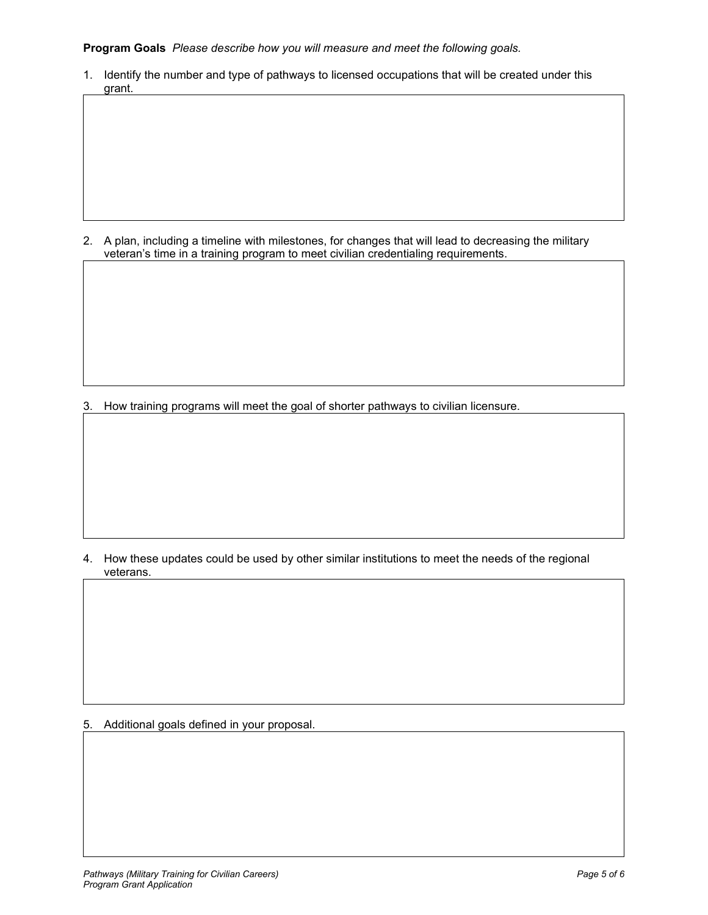**Program Goals** *Please describe how you will measure and meet the following goals.*

1. Identify the number and type of pathways to licensed occupations that will be created under this grant.

2. A plan, including a timeline with milestones, for changes that will lead to decreasing the military veteran's time in a training program to meet civilian credentialing requirements.

3. How training programs will meet the goal of shorter pathways to civilian licensure.

4. How these updates could be used by other similar institutions to meet the needs of the regional veterans.

5. Additional goals defined in your proposal.